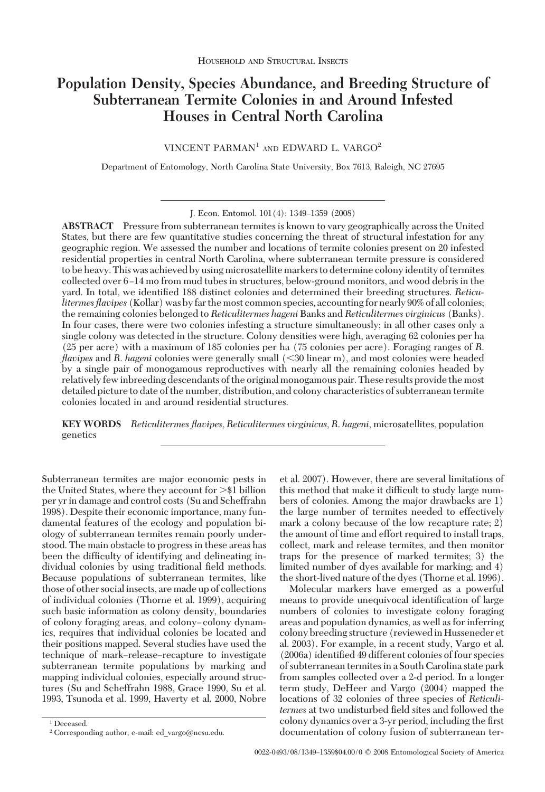# **Population Density, Species Abundance, and Breeding Structure of Subterranean Termite Colonies in and Around Infested Houses in Central North Carolina**

VINCENT PARMAN<sup>1</sup> AND EDWARD L. VARGO<sup>2</sup>

Department of Entomology, North Carolina State University, Box 7613, Raleigh, NC 27695

**ABSTRACT** Pressure from subterranean termites is known to vary geographically across the United States, but there are few quantitative studies concerning the threat of structural infestation for any geographic region. We assessed the number and locations of termite colonies present on 20 infested residential properties in central North Carolina, where subterranean termite pressure is considered to be heavy. This was achieved by using microsatellite markers to determine colonyidentity of termites collected over 6-14 mo from mud tubes in structures, below-ground monitors, and wood debris in the yard. In total, we identified 188 distinct colonies and determined their breeding structures. Reticu*litermes flavipes* (Kollar) was by far the most common species, accounting for nearly 90% of all colonies; the remaining colonies belonged to *Reticulitermes hageni* Banks and *Reticulitermes virginicus* (Banks). In four cases, there were two colonies infesting a structure simultaneously; in all other cases only a single colony was detected in the structure. Colony densities were high, averaging 62 colonies per ha (25 per acre) with a maximum of 185 colonies per ha (75 colonies per acre). Foraging ranges of *R*. *flavipes* and *R*. *hageni* colonies were generally small (30 linear m), and most colonies were headed by a single pair of monogamous reproductives with nearly all the remaining colonies headed by relatively few inbreeding descendants of the original monogamous pair. These results provide the most detailed picture to date of the number, distribution, and colony characteristics of subterranean termite colonies located in and around residential structures.

**KEY WORDS** *Reticulitermes flavipes*, *Reticulitermes virginicus*, *R*. *hageni*, microsatellites, population genetics

Subterranean termites are major economic pests in the United States, where they account for >\$1 billion per yr in damage and control costs (Su and Scheffrahn 1998). Despite their economic importance, many fundamental features of the ecology and population biology of subterranean termites remain poorly understood. The main obstacle to progress in these areas has been the difficulty of identifying and delineating individual colonies by using traditional field methods. Because populations of subterranean termites, like those of other social insects, are made up of collections of individual colonies (Thorne et al. 1999), acquiring such basic information as colony density, boundaries of colony foraging areas, and colony-colony dynamics, requires that individual colonies be located and their positions mapped. Several studies have used the technique of mark-release-recapture to investigate subterranean termite populations by marking and mapping individual colonies, especially around structures (Su and Scheffrahn 1988, Grace 1990, Su et al. 1993, Tsunoda et al. 1999, Haverty et al. 2000, Nobre

Molecular markers have emerged as a powerful means to provide unequivocal identification of large numbers of colonies to investigate colony foraging areas and population dynamics, as well as for inferring colony breeding structure (reviewedin Husseneder et al. 2003). For example, in a recent study, Vargo et al. (2006a) identified 49 different colonies of four species of subterranean termites in a South Carolina state park from samples collected over a 2-d period. In a longer term study, DeHeer and Vargo (2004) mapped the locations of 32 colonies of three species of *Reticulitermes* at two undisturbed field sites and followed the colony dynamics over a 3-yr period, including the first documentation of colony fusion of subterranean ter-

J. Econ. Entomol. 101(4): 1349-1359 (2008)

et al. 2007). However, there are several limitations of this method that make it difficult to study large numbers of colonies. Among the major drawbacks are 1) the large number of termites needed to effectively mark a colony because of the low recapture rate; 2) the amount of time and effort required to install traps, collect, mark and release termites, and then monitor traps for the presence of marked termites; 3) the limited number of dyes available for marking; and 4) the short-lived nature of the dyes (Thorne et al. 1996).

<sup>&</sup>lt;sup>1</sup> Deceased.

<sup>2</sup> Corresponding author, e-mail: ed\_vargo@ncsu.edu.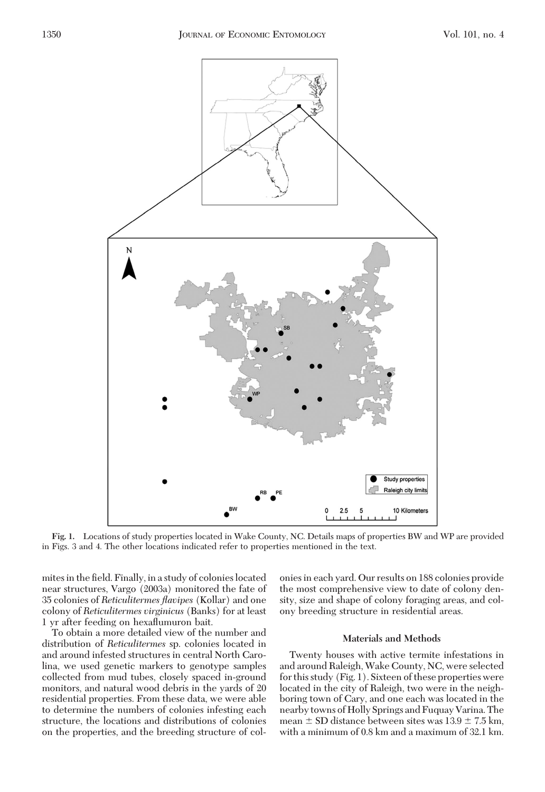

**Fig. 1.** Locations of study properties located in Wake County, NC. Details maps of properties BW and WP are provided in Figs. 3 and 4. The other locations indicated refer to properties mentioned in the text.

mites in the field. Finally, in a study of colonies located near structures, Vargo (2003a) monitored the fate of 35 colonies of *Reticulitermes flavipes* (Kollar) and one colony of *Reticulitermes virginicus* (Banks) for at least 1 yr after feeding on hexaßumuron bait.

To obtain a more detailed view of the number and distribution of *Reticulitermes* sp. colonies located in and around infested structures in central North Carolina, we used genetic markers to genotype samples collected from mud tubes, closely spaced in-ground monitors, and natural wood debris in the yards of 20 residential properties. From these data, we were able to determine the numbers of colonies infesting each structure, the locations and distributions of colonies on the properties, and the breeding structure of colonies in each yard. Our results on 188 colonies provide the most comprehensive view to date of colony density, size and shape of colony foraging areas, and colony breeding structure in residential areas.

### **Materials and Methods**

Twenty houses with active termite infestations in and around Raleigh, Wake County, NC, were selected for this study (Fig. 1). Sixteen of these properties were located in the city of Raleigh, two were in the neighboring town of Cary, and one each was located in the nearby towns of Holly Springs and Fuquay Varina. The mean  $\pm$  SD distance between sites was 13.9  $\pm$  7.5 km, with a minimum of 0.8 km and a maximum of 32.1 km.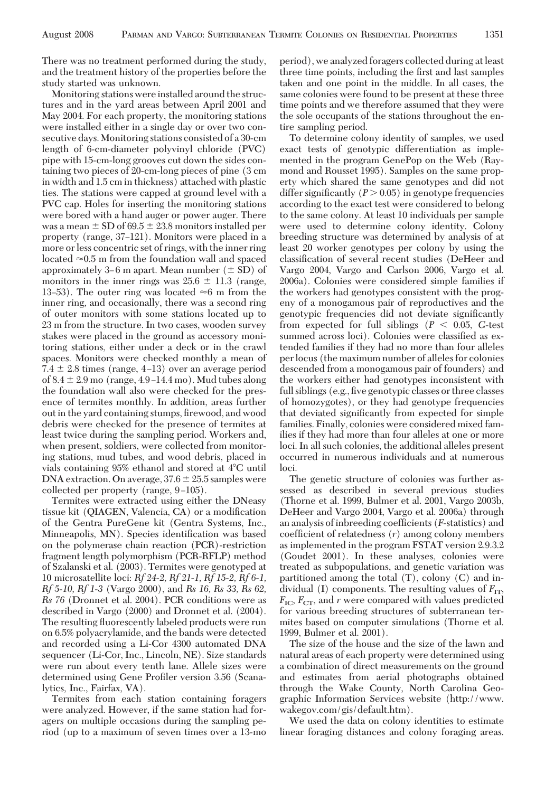There was no treatment performed during the study, and the treatment history of the properties before the study started was unknown.

Monitoring stations were installed around the structures and in the yard areas between April 2001 and May 2004. For each property, the monitoring stations were installed either in a single day or over two consecutive days.Monitoring stations consisted of a 30-cm length of 6-cm-diameter polyvinyl chloride (PVC) pipe with 15-cm-long grooves cut down the sides containing two pieces of 20-cm-long pieces of pine (3 cm in width and 1.5 cm in thickness) attached with plastic ties. The stations were capped at ground level with a PVC cap. Holes for inserting the monitoring stations were bored with a hand auger or power auger. There was a mean  $\pm$  SD of 69.5  $\pm$  23.8 monitors installed per property (range, 37–121). Monitors were placed in a more or less concentric set of rings, with the inner ring located  $\approx 0.5$  m from the foundation wall and spaced approximately 3–6 m apart. Mean number  $(\pm SD)$  of monitors in the inner rings was  $25.6 \pm 11.3$  (range, 13–53). The outer ring was located  $\approx$ 6 m from the inner ring, and occasionally, there was a second ring of outer monitors with some stations located up to 23 m from the structure. In two cases, wooden survey stakes were placed in the ground as accessory monitoring stations, either under a deck or in the crawl spaces. Monitors were checked monthly a mean of  $7.4 \pm 2.8$  times (range, 4–13) over an average period of  $8.4 \pm 2.9$  mo (range,  $4.9 - 14.4$  mo). Mud tubes along the foundation wall also were checked for the presence of termites monthly. In addition, areas further out in the yard containing stumps, firewood, and wood debris were checked for the presence of termites at least twice during the sampling period. Workers and, when present, soldiers, were collected from monitoring stations, mud tubes, and wood debris, placed in vials containing 95% ethanol and stored at 4C until DNA extraction. On average,  $37.6 \pm 25.5$  samples were collected per property (range,  $9-105$ ).

Termites were extracted using either the DNeasy tissue kit (QIAGEN, Valencia, CA) or a modification of the Gentra PureGene kit (Gentra Systems, Inc., Minneapolis, MN). Species identification was based on the polymerase chain reaction (PCR)-restriction fragment length polymorphism (PCR-RFLP) method of Szalanski et al. (2003). Termites were genotyped at 10 microsatellite loci: *Rf 24-2, Rf 21-1, Rf 15-2, Rf 6-1, Rf 5-10, Rf 1-3* (Vargo 2000), and *Rs 16, Rs 33, Rs 62, Rs 76* (Dronnet et al. 2004). PCR conditions were as described in Vargo (2000) and Dronnet et al. (2004). The resulting ßuorescently labeled products were run on 6.5% polyacrylamide, and the bands were detected and recorded using a Li-Cor 4300 automated DNA sequencer (Li-Cor, Inc., Lincoln, NE). Size standards were run about every tenth lane. Allele sizes were determined using Gene Profiler version 3.56 (Scanalytics, Inc., Fairfax, VA).

Termites from each station containing foragers were analyzed. However, if the same station had foragers on multiple occasions during the sampling period (up to a maximum of seven times over a 13-mo period), we analyzed foragers collected during at least three time points, including the first and last samples taken and one point in the middle. In all cases, the same colonies were found to be present at these three time points and we therefore assumed that they were the sole occupants of the stations throughout the entire sampling period.

To determine colony identity of samples, we used exact tests of genotypic differentiation as implemented in the program GenePop on the Web (Raymond and Rousset 1995). Samples on the same property which shared the same genotypes and did not differ significantly  $(P > 0.05)$  in genotype frequencies according to the exact test were considered to belong to the same colony. At least 10 individuals per sample were used to determine colony identity. Colony breeding structure was determined by analysis of at least 20 worker genotypes per colony by using the classification of several recent studies (DeHeer and Vargo 2004, Vargo and Carlson 2006, Vargo et al. 2006a). Colonies were considered simple families if the workers had genotypes consistent with the progeny of a monogamous pair of reproductives and the genotypic frequencies did not deviate significantly from expected for full siblings  $(P < 0.05, G$ -test summed across loci). Colonies were classified as extended families if they had no more than four alleles per locus (the maximum number of alleles for colonies descended from a monogamous pair of founders) and the workers either had genotypes inconsistent with full siblings (e.g., five genotypic classes or three classes of homozygotes), or they had genotype frequencies that deviated significantly from expected for simple families. Finally, colonies were considered mixed families if they had more than four alleles at one or more loci. In all such colonies, the additional alleles present occurred in numerous individuals and at numerous loci.

The genetic structure of colonies was further assessed as described in several previous studies (Thorne et al. 1999, Bulmer et al. 2001, Vargo 2003b, DeHeer and Vargo 2004, Vargo et al. 2006a) through an analysis of inbreeding coefficients (*F*-statistics) and coefficient of relatedness  $(r)$  among colony members as implemented in the program FSTAT version 2.9.3.2 (Goudet 2001). In these analyses, colonies were treated as subpopulations, and genetic variation was partitioned among the total (T), colony (C) and individual (I) components. The resulting values of  $F_{IT}$ ,  $F_{\text{IC}}$ ,  $F_{\text{CT}}$ , and *r* were compared with values predicted for various breeding structures of subterranean termites based on computer simulations (Thorne et al. 1999, Bulmer et al. 2001).

The size of the house and the size of the lawn and natural areas of each property were determined using a combination of direct measurements on the ground and estimates from aerial photographs obtained through the Wake County, North Carolina Geographic Information Services website (http://www. wakegov.com/gis/default.htm).

We used the data on colony identities to estimate linear foraging distances and colony foraging areas.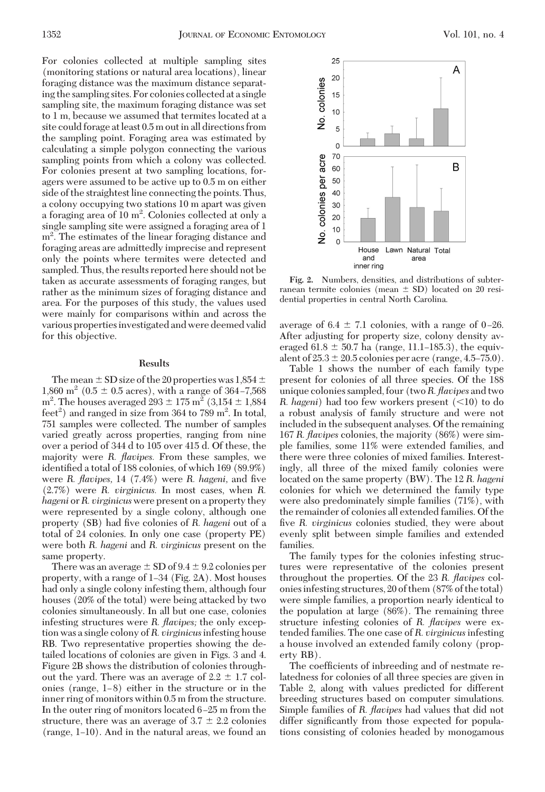For colonies collected at multiple sampling sites (monitoring stations or natural area locations), linear foraging distance was the maximum distance separating the sampling sites. For colonies collected at a single sampling site, the maximum foraging distance was set to 1 m, because we assumed that termites located at a site could forage at least 0.5 m out in all directions from the sampling point. Foraging area was estimated by calculating a simple polygon connecting the various sampling points from which a colony was collected. For colonies present at two sampling locations, foragers were assumed to be active up to 0.5 m on either side of the straightest line connecting the points. Thus, a colony occupying two stations 10 m apart was given a foraging area of 10 m<sup>2</sup>. Colonies collected at only a single sampling site were assigned a foraging area of 1 m<sup>2</sup>. The estimates of the linear foraging distance and foraging areas are admittedly imprecise and represent only the points where termites were detected and sampled. Thus, the results reported here should not be taken as accurate assessments of foraging ranges, but rather as the minimum sizes of foraging distance and area. For the purposes of this study, the values used were mainly for comparisons within and across the various properties investigated and were deemed valid for this objective.

## **Results**

The mean  $\pm$  SD size of the 20 properties was 1,854  $\pm$ 1,860 m<sup>2</sup> (0.5  $\pm$  0.5 acres), with a range of 364-7,568  $m^2$ . The houses averaged  $293 \pm 175$   $m^2$  (3,154  $\pm$  1,884) feet<sup>2</sup>) and ranged in size from 364 to 789 m<sup>2</sup>. In total, 751 samples were collected. The number of samples varied greatly across properties, ranging from nine over a period of 344 d to 105 over 415 d. Of these, the majority were *R. flavipes.* From these samples, we identified a total of 188 colonies, of which 169 (89.9%) were *R. flavipes*, 14 (7.4%) were *R. hageni*, and five (2.7%) were *R. virginicus.* In most cases, when *R. hageni* or*R. virginicus* were present on a property they were represented by a single colony, although one property (SB) had five colonies of *R. hageni* out of a total of 24 colonies. In only one case (property PE) were both *R. hageni* and *R. virginicus* present on the same property.

There was an average  $\pm$  SD of 9.4  $\pm$  9.2 colonies per property, with a range of 1-34 (Fig. 2A). Most houses had only a single colony infesting them, although four houses (20% of the total) were being attacked by two colonies simultaneously. In all but one case, colonies infesting structures were *R. flavipes;* the only exception was a single colony of*R. virginicus*infesting house RB. Two representative properties showing the detailed locations of colonies are given in Figs. 3 and 4. Figure 2B shows the distribution of colonies throughout the yard. There was an average of  $2.2 \pm 1.7$  colonies (range,  $1-8$ ) either in the structure or in the inner ring of monitors within 0.5 m from the structure. In the outer ring of monitors located  $6-25$  m from the structure, there was an average of  $3.7 \pm 2.2$  colonies  $(range, 1-10)$ . And in the natural areas, we found an



**Fig. 2.** Numbers, densities, and distributions of subterranean termite colonies (mean  $\pm$  SD) located on 20 residential properties in central North Carolina.

average of  $6.4 \pm 7.1$  colonies, with a range of 0-26. After adjusting for property size, colony density averaged 61.8  $\pm$  50.7 ha (range, 11.1–185.3), the equivalent of  $25.3 \pm 20.5$  colonies per acre (range, 4.5–75.0).

Table 1 shows the number of each family type present for colonies of all three species. Of the 188 unique colonies sampled, four (two*R. flavipes* and two *R. hageni*) had too few workers present (<10) to do a robust analysis of family structure and were not included in the subsequent analyses. Of the remaining 167 *R. flavipes* colonies, the majority (86%) were simple families, some 11% were extended families, and there were three colonies of mixed families. Interestingly, all three of the mixed family colonies were located on the same property (BW). The 12 *R. hageni* colonies for which we determined the family type were also predominately simple families (71%), with the remainder of colonies all extended families. Of the five *R. virginicus* colonies studied, they were about evenly split between simple families and extended families.

The family types for the colonies infesting structures were representative of the colonies present throughout the properties. Of the 23 *R. flavipes* coloniesinfesting structures, 20 of them (87% of the total) were simple families, a proportion nearly identical to the population at large (86%). The remaining three structure infesting colonies of *R. flavipes* were extended families. The one case of *R. virginicus*infesting a house involved an extended family colony (property RB).

The coefficients of inbreeding and of nestmate relatedness for colonies of all three species are given in Table 2, along with values predicted for different breeding structures based on computer simulations. Simple families of *R. flavipes* had values that did not differ significantly from those expected for populations consisting of colonies headed by monogamous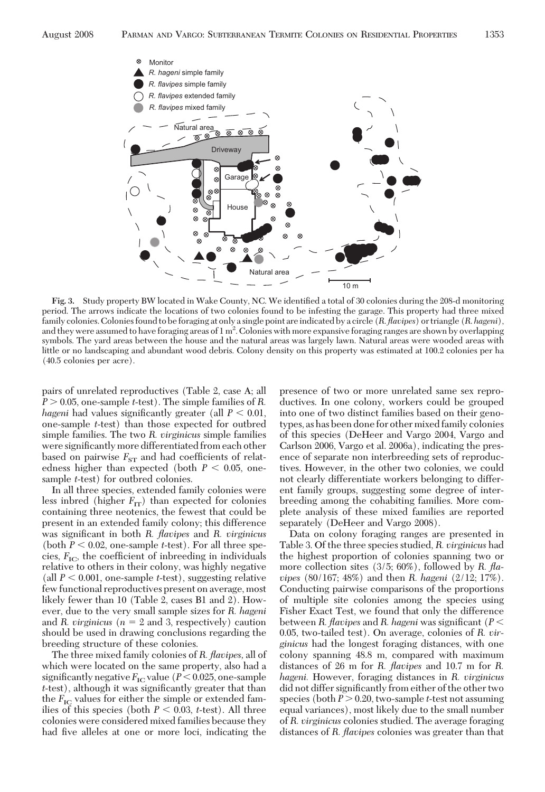

Fig. 3. Study property BW located in Wake County, NC. We identified a total of 30 colonies during the 208-d monitoring period. The arrows indicate the locations of two colonies found to be infesting the garage. This property had three mixed family colonies. Colonies found to be foraging at only a single point areindicated by a circle (*R*.*flavipes*) or triangle (*R*. *hageni*), and they were assumed to have foraging areas of 1 m<sup>2</sup>. Colonies with more expansive foraging ranges are shown by overlapping symbols. The yard areas between the house and the natural areas was largely lawn. Natural areas were wooded areas with little or no landscaping and abundant wood debris. Colony density on this property was estimated at 100.2 colonies per ha (40.5 colonies per acre).

pairs of unrelated reproductives (Table 2, case A; all *P* - 0.05, one-sample *t*-test). The simple families of *R. hageni* had values significantly greater (all  $P < 0.01$ , one-sample *t*-test) than those expected for outbred simple families. The two *R. virginicus* simple families were significantly more differentiated from each other based on pairwise  $F_{ST}$  and had coefficients of relatedness higher than expected (both  $P < 0.05$ , onesample *t*-test) for outbred colonies.

**Monitor** 

 $\infty$ 

In all three species, extended family colonies were less inbred (higher  $F_{IT}$ ) than expected for colonies containing three neotenics, the fewest that could be present in an extended family colony; this difference was significant in both *R. flavipes* and *R. virginicus* (both  $P < 0.02$ , one-sample *t*-test). For all three species,  $F_{\text{IC}}$ , the coefficient of inbreeding in individuals relative to others in their colony, was highly negative (all  $P < 0.001$ , one-sample *t*-test), suggesting relative few functional reproductives present on average, most likely fewer than 10 (Table 2, cases B1 and 2). However, due to the very small sample sizes for *R. hageni* and *R. virginicus* ( $n = 2$  and 3, respectively) caution should be used in drawing conclusions regarding the breeding structure of these colonies.

The three mixed family colonies of *R. flavipes,* all of which were located on the same property, also had a significantly negative  $F_{\text{IC}}$  value ( $P < 0.025$ , one-sample *t*-test), although it was significantly greater that than the  $F_{\text{IC}}$  values for either the simple or extended families of this species (both  $P < 0.03$ , *t*-test). All three colonies were considered mixed families because they had five alleles at one or more loci, indicating the presence of two or more unrelated same sex reproductives. In one colony, workers could be grouped into one of two distinct families based on their genotypes, as has been done for othermixed family colonies of this species (DeHeer and Vargo 2004, Vargo and Carlson 2006, Vargo et al. 2006a), indicating the presence of separate non interbreeding sets of reproductives. However, in the other two colonies, we could not clearly differentiate workers belonging to different family groups, suggesting some degree of interbreeding among the cohabiting families. More complete analysis of these mixed families are reported separately (DeHeer and Vargo 2008).

Data on colony foraging ranges are presented in Table 3. Of the three species studied, *R. virginicus* had the highest proportion of colonies spanning two or more collection sites (3/5; 60%), followed by *R. flavipes* (80/167; 48%) and then *R. hageni* (2/12; 17%). Conducting pairwise comparisons of the proportions of multiple site colonies among the species using Fisher Exact Test, we found that only the difference between *R. flavipes* and *R. hageni* was significant (*P* < 0.05, two-tailed test). On average, colonies of *R. virginicus* had the longest foraging distances, with one colony spanning 48.8 m, compared with maximum distances of 26 m for *R. flavipes* and 10.7 m for *R. hageni.* However, foraging distances in *R. virginicus* did not differ significantly from either of the other two species (both  $P > 0.20$ , two-sample *t*-test not assuming equal variances), most likely due to the small number of *R. virginicus* colonies studied. The average foraging distances of *R. flavipes* colonies was greater than that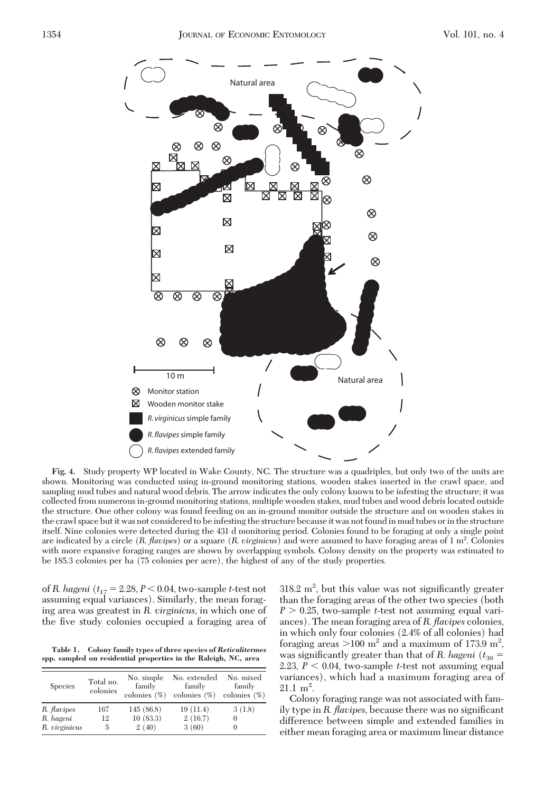

**Fig. 4.** Study property WP located in Wake County, NC. The structure was a quadriplex, but only two of the units are shown. Monitoring was conducted using in-ground monitoring stations, wooden stakes inserted in the crawl space, and sampling mud tubes and natural wood debris. The arrow indicates the only colony known to be infesting the structure; it was collected from numerous in-ground monitoring stations, multiple wooden stakes, mud tubes and wood debris located outside the structure. One other colony was found feeding on an in-ground monitor outside the structure and on wooden stakes in the crawl space but it was not considered to be infesting the structure because it was not found in mud tubes or in the structure itself. Nine colonies were detected during the 431 d monitoring period. Colonies found to be foraging at only a single point are indicated by a circle (*R*. *flavipes*) or a square (*R*. *virginicus*) and were assumed to have foraging areas of 1 m2 . Colonies with more expansive foraging ranges are shown by overlapping symbols. Colony density on the property was estimated to be 185.3 colonies per ha (75 colonies per acre), the highest of any of the study properties.

of *R. hageni* (*t*<sup>17</sup> 2.28, *P* 0.04, two-sample *t*-test not assuming equal variances). Similarly, the mean foraging area was greatest in *R. virginicus,* in which one of the five study colonies occupied a foraging area of

**Table 1. Colony family types of three species of** *Reticulitermes* **spp. sampled on residential properties in the Raleigh, NC, area**

| <b>Species</b> | Total no.<br>colonies | No. simple<br>family<br>colonies $(\%)$ | No. extended<br>family<br>colonies $(\%)$ | No. mixed<br>family<br>colonies $(\%)$ |
|----------------|-----------------------|-----------------------------------------|-------------------------------------------|----------------------------------------|
| R. flavipes    | 167                   | 145(86.8)                               | 19(11.4)                                  | 3(1.8)                                 |
| R. hageni      | 12                    | 10(83.3)                                | 2(16.7)                                   | 0                                      |
| R. virginicus  | 5                     | 2(40)                                   | 3(60)                                     | 0                                      |

 $318.2 \text{ m}^2$ , but this value was not significantly greater than the foraging areas of the other two species (both *P* - 0.25, two-sample *t*-test not assuming equal variances). The mean foraging area of *R. flavipes* colonies, in which only four colonies (2.4% of all colonies) had foraging areas  $>100 \text{ m}^2$  and a maximum of 173.9 m<sup>2</sup>, was significantly greater than that of *R. hageni* ( $t_{39}$  = 2.23,  $P < 0.04$ , two-sample *t*-test not assuming equal variances), which had a maximum foraging area of  $21.1 \text{ m}^2$ .

Colony foraging range was not associated with family type in *R. flavipes*, because there was no significant difference between simple and extended families in either mean foraging area or maximum linear distance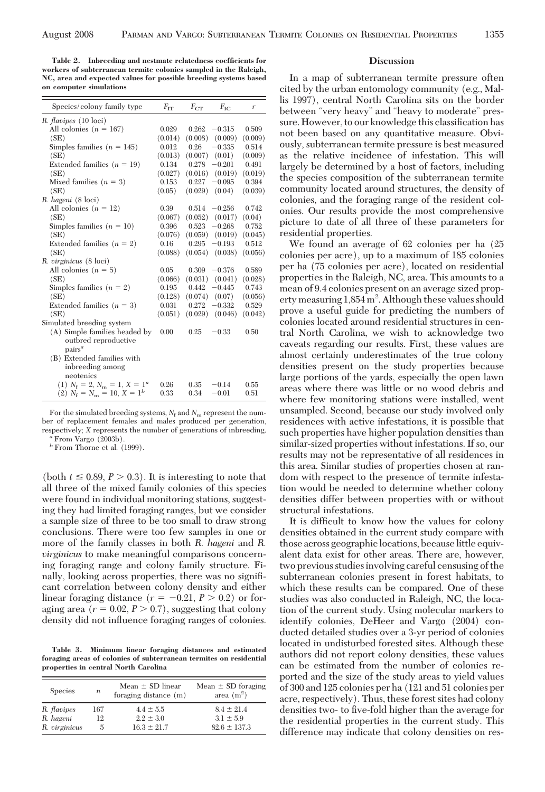**Table 2. Inbreeding and nestmate relatedness coefficients for workers of subterranean termite colonies sampled in the Raleigh, NC, area and expected values for possible breeding systems based on computer simulations**

| Species/colony family type      | $F_{TT}$ | $F_{CT}$ | $F_{\rm IC}$        | r       |
|---------------------------------|----------|----------|---------------------|---------|
| R. <i>flavipes</i> (10 loci)    |          |          |                     |         |
| All colonies $(n = 167)$        | 0.029    |          | $0.262 - 0.315$     | 0.509   |
| (SE)                            | (0.014)  |          | $(0.008)$ $(0.009)$ | (0.009) |
| Simples families $(n = 145)$    | 0.012    | 0.26     | $-0.335$            | 0.514   |
| (SE)                            | (0.013)  | (0.007)  | (0.01)              | (0.009) |
| Extended families $(n = 19)$    | 0.134    | 0.278    | $-0.201$            | 0.491   |
| (SE)                            | (0.027)  | (0.016)  | (0.019)             | (0.019) |
| Mixed families $(n = 3)$        | 0.153    | 0.227    | $-0.095$            | 0.394   |
| (SE)                            | (0.05)   |          | $(0.029)$ $(0.04)$  | (0.039) |
| R. hageni (8 loci)              |          |          |                     |         |
| All colonies $(n = 12)$         | 0.39     | 0.514    | $-0.256$            | 0.742   |
| (SE)                            | (0.067)  |          | $(0.052)$ $(0.017)$ | (0.04)  |
| Simples families $(n = 10)$     | 0.396    |          | $0.523 -0.268$      | 0.752   |
| (SE)                            | (0.076)  |          | $(0.059)$ $(0.019)$ | (0.045) |
| Extended families $(n = 2)$     | 0.16     | 0.295    | $-0.193$            | 0.512   |
| (SE)                            | (0.088)  |          | $(0.054)$ $(0.038)$ | (0.056) |
| R. virginicus (8 loci)          |          |          |                     |         |
| All colonies $(n = 5)$          | 0.05     | 0.309    | $-0.376$            | 0.589   |
| (SE)                            | (0.066)  | (0.031)  | (0.041)             | (0.028) |
| Simples families $(n = 2)$      | 0.195    | 0.442    | $-0.445$            | 0.743   |
| (SE)                            | (0.128)  | (0.074)  | (0.07)              | (0.056) |
| Extended families $(n = 3)$     | 0.031    | 0.272    | $-0.332$            | 0.529   |
| (SE)                            | (0.051)  |          | $(0.029)$ $(0.046)$ | (0.042) |
| Simulated breeding system       |          |          |                     |         |
| (A) Simple families headed by   | 0.00     | 0.25     | $-0.33$             | 0.50    |
| outbred reproductive            |          |          |                     |         |
| pairs <sup>a</sup>              |          |          |                     |         |
| (B) Extended families with      |          |          |                     |         |
| inbreeding among                |          |          |                     |         |
| neotenics                       |          |          |                     |         |
| (1) $N_f = 2, N_m = 1, X = 1^a$ | 0.26     | 0.35     | $-0.14$             | 0.55    |
| $(2)$ $N_f = N_m = 10, X = 1^b$ | 0.33     | 0.34     | $-0.01$             | 0.51    |

For the simulated breeding systems,  $N_f$  and  $N_m$  represent the number of replacement females and males produced per generation, respectively; *<sup>X</sup>* represents the number of generations of inbreeding. *<sup>a</sup>* From Vargo (2003b).

 $^b$  From Thorne et al. (1999).

(both  $t \leq 0.89$ ,  $P > 0.3$ ). It is interesting to note that all three of the mixed family colonies of this species were found in individual monitoring stations, suggesting they had limited foraging ranges, but we consider a sample size of three to be too small to draw strong conclusions. There were too few samples in one or more of the family classes in both *R. hageni* and *R. virginicus* to make meaningful comparisons concerning foraging range and colony family structure. Finally, looking across properties, there was no signiÞcant correlation between colony density and either linear foraging distance  $(r = -0.21, P > 0.2)$  or foraging area  $(r = 0.02, P > 0.7)$ , suggesting that colony density did not inßuence foraging ranges of colonies.

**Table 3. Minimum linear foraging distances and estimated foraging areas of colonies of subterranean termites on residential properties in central North Carolina**

| <b>Species</b> | $\boldsymbol{n}$ | Mean $\pm$ SD linear<br>foraging distance (m) | Mean $\pm$ SD foraging<br>area $(m^2)$ |
|----------------|------------------|-----------------------------------------------|----------------------------------------|
| R. flavipes    | 167              | $4.4 \pm 5.5$                                 | $8.4 \pm 21.4$                         |
| R. hageni      | 12               | $2.2 \pm 3.0$                                 | $3.1 \pm 5.9$                          |
| R. virginicus  | 5                | $16.3 \pm 21.7$                               | $82.6 \pm 137.3$                       |

### **Discussion**

In a map of subterranean termite pressure often cited by the urban entomology community (e.g., Mallis 1997), central North Carolina sits on the border between "very heavy" and "heavy to moderate" pressure. However, to our knowledge this classification has not been based on any quantitative measure. Obviously, subterranean termite pressure is best measured as the relative incidence of infestation. This will largely be determined by a host of factors, including the species composition of the subterranean termite community located around structures, the density of colonies, and the foraging range of the resident colonies. Our results provide the most comprehensive picture to date of all three of these parameters for residential properties.

We found an average of 62 colonies per ha (25 colonies per acre), up to a maximum of 185 colonies per ha (75 colonies per acre), located on residential properties in the Raleigh, NC, area. This amounts to a mean of 9.4 colonies present on an average sized property measuring 1,854 m<sup>2</sup>. Although these values should prove a useful guide for predicting the numbers of colonies located around residential structures in central North Carolina, we wish to acknowledge two caveats regarding our results. First, these values are almost certainly underestimates of the true colony densities present on the study properties because large portions of the yards, especially the open lawn areas where there was little or no wood debris and where few monitoring stations were installed, went unsampled. Second, because our study involved only residences with active infestations, it is possible that such properties have higher population densities than similar-sized properties without infestations. If so, our results may not be representative of all residences in this area. Similar studies of properties chosen at random with respect to the presence of termite infestation would be needed to determine whether colony densities differ between properties with or without structural infestations.

It is difficult to know how the values for colony densities obtained in the current study compare with those across geographic locations, because little equivalent data exist for other areas. There are, however, two previous studies involving careful censusing of the subterranean colonies present in forest habitats, to which these results can be compared. One of these studies was also conducted in Raleigh, NC, the location of the current study. Using molecular markers to identify colonies, DeHeer and Vargo (2004) conducted detailed studies over a 3-yr period of colonies located in undisturbed forested sites. Although these authors did not report colony densities, these values can be estimated from the number of colonies reported and the size of the study areas to yield values of 300 and 125 colonies per ha (121 and 51 colonies per acre, respectively). Thus, these forest sites had colony densities two- to five-fold higher than the average for the residential properties in the current study. This difference may indicate that colony densities on res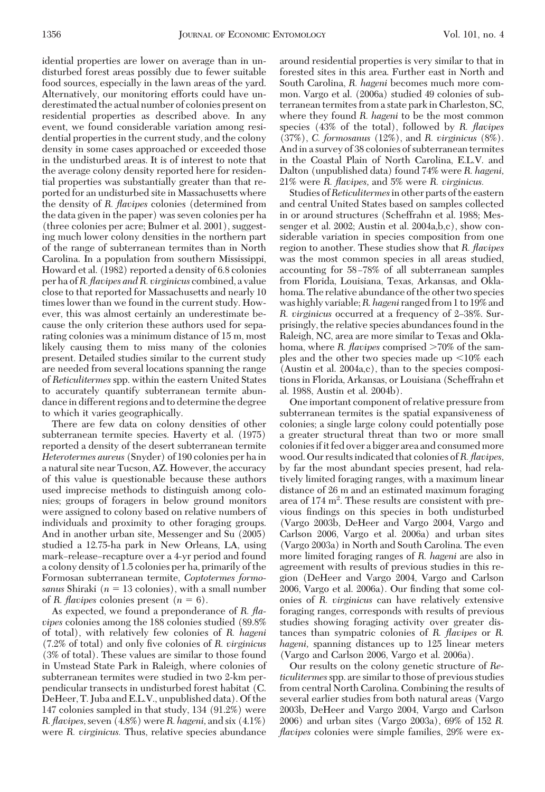idential properties are lower on average than in undisturbed forest areas possibly due to fewer suitable food sources, especially in the lawn areas of the yard. Alternatively, our monitoring efforts could have underestimated the actual number of colonies present on residential properties as described above. In any event, we found considerable variation among residential properties in the current study, and the colony density in some cases approached or exceeded those in the undisturbed areas. It is of interest to note that the average colony density reported here for residential properties was substantially greater than that reported for an undisturbed site in Massachusetts where the density of *R. flavipes* colonies (determined from the data given in the paper) was seven colonies per ha (three colonies per acre; Bulmer et al. 2001), suggesting much lower colony densities in the northern part of the range of subterranean termites than in North Carolina. In a population from southern Mississippi, Howard et al. (1982) reported a density of 6.8 colonies per ha of*R. flavipes and R. virginicus* combined, a value close to that reported for Massachusetts and nearly 10 times lower than we found in the current study. However, this was almost certainly an underestimate because the only criterion these authors used for separating colonies was a minimum distance of 15 m, most likely causing them to miss many of the colonies present. Detailed studies similar to the current study are needed from several locations spanning the range of *Reticulitermes* spp. within the eastern United States to accurately quantify subterranean termite abundance in different regions and to determine the degree to which it varies geographically.

There are few data on colony densities of other subterranean termite species. Haverty et al. (1975) reported a density of the desert subterranean termite *Heterotermes aureus* (Snyder) of 190 colonies per ha in a natural site near Tucson, AZ. However, the accuracy of this value is questionable because these authors used imprecise methods to distinguish among colonies; groups of foragers in below ground monitors were assigned to colony based on relative numbers of individuals and proximity to other foraging groups. And in another urban site, Messenger and Su (2005) studied a 12.75-ha park in New Orleans, LA, using mark–release–recapture over a 4-yr period and found a colony density of 1.5 colonies per ha, primarily of the Formosan subterranean termite, *Coptotermes formosanus* Shiraki ( $n = 13$  colonies), with a small number of *R. flavipes* colonies present  $(n = 6)$ .

As expected, we found a preponderance of *R. flavipes* colonies among the 188 colonies studied (89.8% of total), with relatively few colonies of *R. hageni* (7.2% of total) and only Þve colonies of *R. virginicus* (3% of total). These values are similar to those found in Umstead State Park in Raleigh, where colonies of subterranean termites were studied in two 2-km perpendicular transects in undisturbed forest habitat (C. DeHeer, T. Juba and E.L.V., unpublished data). Of the 147 colonies sampled in that study, 134 (91.2%) were *R. flavipes,*seven (4.8%) were*R. hageni,* and six (4.1%) were *R. virginicus.* Thus, relative species abundance

around residential properties is very similar to that in forested sites in this area. Further east in North and South Carolina, *R. hageni* becomes much more common. Vargo et al. (2006a) studied 49 colonies of subterranean termites from a state park in Charleston, SC, where they found *R. hageni* to be the most common species (43% of the total), followed by *R. flavipes* (37%), *C. formosanus* (12%), and *R. virginicus* (8%). And in a survey of 38 colonies of subterranean termites in the Coastal Plain of North Carolina, E.L.V. and Dalton (unpublished data) found 74% were *R. hageni,* 21% were *R. flavipes,* and 5% were *R. virginicus.*

Studies of*Reticulitermes*in other parts of the eastern and central United States based on samples collected in or around structures (Scheffrahn et al. 1988; Messenger et al. 2002; Austin et al. 2004a,b,c), show considerable variation in species composition from one region to another. These studies show that *R. flavipes* was the most common species in all areas studied, accounting for 58-78% of all subterranean samples from Florida, Louisiana, Texas, Arkansas, and Oklahoma. The relative abundance of the other two species was highly variable;*R. hageni* ranged from 1 to 19% and *R. virginicus* occurred at a frequency of 2–38%. Surprisingly, the relative species abundances found in the Raleigh, NC, area are more similar to Texas and Oklahoma, where *R. flavipes* comprised >70% of the samples and the other two species made up  $\leq 10\%$  each (Austin et al. 2004a,c), than to the species compositions in Florida, Arkansas, or Louisiana (Scheffrahn et al. 1988, Austin et al. 2004b).

One important component of relative pressure from subterranean termites is the spatial expansiveness of colonies; a single large colony could potentially pose a greater structural threat than two or more small coloniesifit fed over a bigger area and consumed more wood. Our resultsindicated that colonies of*R. flavipes,* by far the most abundant species present, had relatively limited foraging ranges, with a maximum linear distance of 26 m and an estimated maximum foraging area of 174  $m^2$ . These results are consistent with previous findings on this species in both undisturbed (Vargo 2003b, DeHeer and Vargo 2004, Vargo and Carlson 2006, Vargo et al. 2006a) and urban sites (Vargo 2003a) in North and South Carolina. The even more limited foraging ranges of *R. hageni* are also in agreement with results of previous studies in this region (DeHeer and Vargo 2004, Vargo and Carlson 2006, Vargo et al. 2006a). Our finding that some colonies of *R. virginicus* can have relatively extensive foraging ranges, corresponds with results of previous studies showing foraging activity over greater distances than sympatric colonies of *R. flavipes* or *R. hageni,* spanning distances up to 125 linear meters (Vargo and Carlson 2006, Vargo et al. 2006a).

Our results on the colony genetic structure of *Reticulitermes*spp. are similar to those of previous studies from central North Carolina. Combining the results of several earlier studies from both natural areas (Vargo 2003b, DeHeer and Vargo 2004, Vargo and Carlson 2006) and urban sites (Vargo 2003a), 69% of 152 *R. flavipes* colonies were simple families, 29% were ex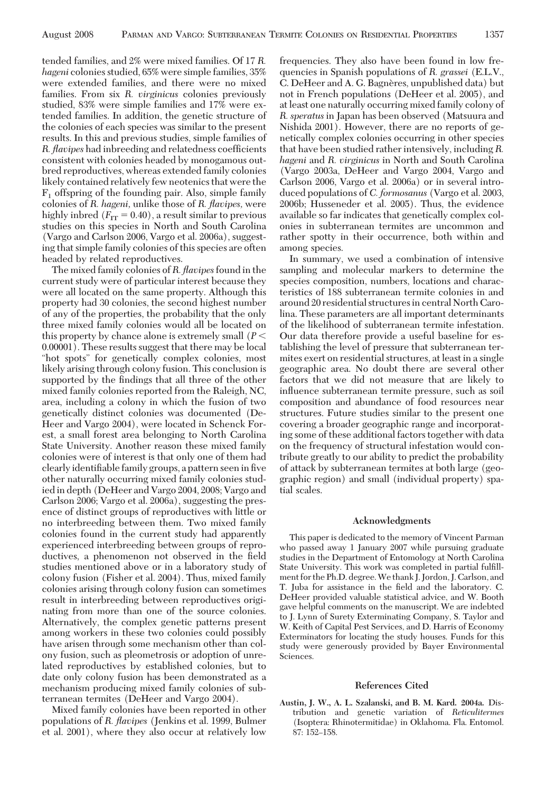tended families, and 2% were mixed families. Of 17 *R. hageni* colonies studied, 65% were simple families, 35% were extended families, and there were no mixed families. From six *R. virginicus* colonies previously studied, 83% were simple families and 17% were extended families. In addition, the genetic structure of the colonies of each species was similar to the present results. In this and previous studies, simple families of *R. flavipes* had inbreeding and relatedness coefficients consistent with colonies headed by monogamous outbred reproductives, whereas extended family colonies likely contained relatively few neotenics that were the  $F_1$  offspring of the founding pair. Also, simple family colonies of *R. hageni,* unlike those of *R. flavipes,* were highly inbred  $(F_{IT} = 0.40)$ , a result similar to previous studies on this species in North and South Carolina (Vargo and Carlson 2006, Vargo et al. 2006a), suggesting that simple family colonies of this species are often headed by related reproductives.

The mixed family colonies of*R. flavipes*found in the current study were of particular interest because they were all located on the same property. Although this property had 30 colonies, the second highest number of any of the properties, the probability that the only three mixed family colonies would all be located on this property by chance alone is extremely small (*P* 0.00001). These results suggest that there may be local "hot spots" for genetically complex colonies, most likely arising through colony fusion. This conclusion is supported by the findings that all three of the other mixed family colonies reported from the Raleigh, NC, area, including a colony in which the fusion of two genetically distinct colonies was documented (De-Heer and Vargo 2004), were located in Schenck Forest, a small forest area belonging to North Carolina State University. Another reason these mixed family colonies were of interest is that only one of them had clearly identifiable family groups, a pattern seen in five other naturally occurring mixed family colonies studied in depth (DeHeer and Vargo 2004, 2008; Vargo and Carlson 2006; Vargo et al. 2006a), suggesting the presence of distinct groups of reproductives with little or no interbreeding between them. Two mixed family colonies found in the current study had apparently experienced interbreeding between groups of reproductives, a phenomenon not observed in the field studies mentioned above or in a laboratory study of colony fusion (Fisher et al. 2004). Thus, mixed family colonies arising through colony fusion can sometimes result in interbreeding between reproductives originating from more than one of the source colonies. Alternatively, the complex genetic patterns present among workers in these two colonies could possibly have arisen through some mechanism other than colony fusion, such as pleometrosis or adoption of unrelated reproductives by established colonies, but to date only colony fusion has been demonstrated as a mechanism producing mixed family colonies of subterranean termites (DeHeer and Vargo 2004).

Mixed family colonies have been reported in other populations of *R. flavipes* (Jenkins et al. 1999, Bulmer et al. 2001), where they also occur at relatively low

frequencies. They also have been found in low frequencies in Spanish populations of *R. grassei* (E.L.V., C. DeHeer and A. G. Bagnères, unpublished data) but not in French populations (DeHeer et al. 2005), and at least one naturally occurring mixed family colony of *R. speratus* in Japan has been observed (Matsuura and Nishida 2001). However, there are no reports of genetically complex colonies occurring in other species that have been studied rather intensively, including *R. hageni* and *R. virginicus* in North and South Carolina (Vargo 2003a, DeHeer and Vargo 2004, Vargo and Carlson 2006, Vargo et al. 2006a) or in several introduced populations of *C. formosanus* (Vargo et al. 2003, 2006b; Husseneder et al. 2005). Thus, the evidence available so far indicates that genetically complex colonies in subterranean termites are uncommon and rather spotty in their occurrence, both within and among species.

In summary, we used a combination of intensive sampling and molecular markers to determine the species composition, numbers, locations and characteristics of 188 subterranean termite colonies in and around 20 residential structures in central North Carolina. These parameters are all important determinants of the likelihood of subterranean termite infestation. Our data therefore provide a useful baseline for establishing the level of pressure that subterranean termites exert on residential structures, at least in a single geographic area. No doubt there are several other factors that we did not measure that are likely to inßuence subterranean termite pressure, such as soil composition and abundance of food resources near structures. Future studies similar to the present one covering a broader geographic range and incorporating some of these additional factors together with data on the frequency of structural infestation would contribute greatly to our ability to predict the probability of attack by subterranean termites at both large (geographic region) and small (individual property) spatial scales.

### **Acknowledgments**

This paper is dedicated to the memory of Vincent Parman who passed away 1 January 2007 while pursuing graduate studies in the Department of Entomology at North Carolina State University. This work was completed in partial fulfillment for the Ph.D. degree.We thank J. Jordon, J. Carlson, and T. Juba for assistance in the field and the laboratory. C. DeHeer provided valuable statistical advice, and W. Booth gave helpful comments on the manuscript. We are indebted to J. Lynn of Surety Exterminating Company, S. Taylor and W. Keith of Capital Pest Services, and D. Harris of Economy Exterminators for locating the study houses. Funds for this study were generously provided by Bayer Environmental Sciences.

#### **References Cited**

**Austin, J. W., A. L. Szalanski, and B. M. Kard. 2004a.** Distribution and genetic variation of *Reticulitermes* (Isoptera: Rhinotermitidae) in Oklahoma. Fla. Entomol. 87: 152-158.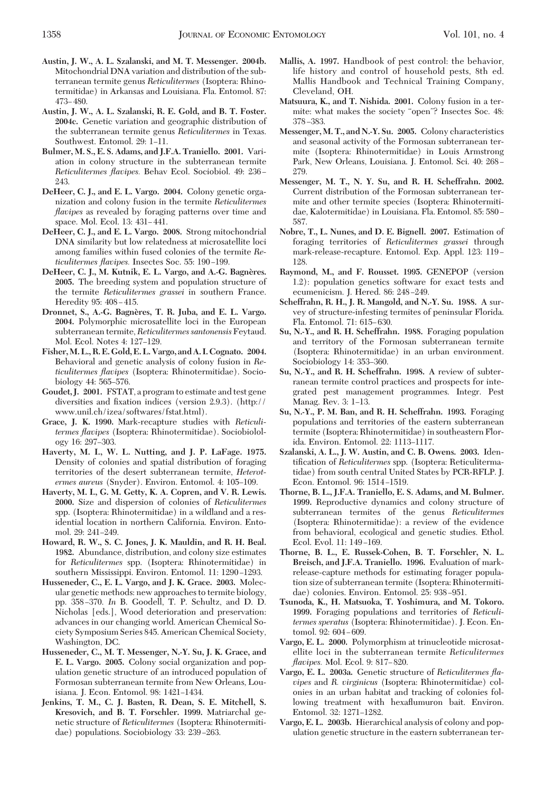- **Austin, J. W., A. L. Szalanski, and M. T. Messenger. 2004b.** Mitochondrial DNA variation and distribution of the subterranean termite genus *Reticulitermes* (Isoptera: Rhinotermitidae) in Arkansas and Louisiana. Fla. Entomol. 87: 473–480.
- **Austin, J. W., A. L. Szalanski, R. E. Gold, and B. T. Foster. 2004c.** Genetic variation and geographic distribution of the subterranean termite genus *Reticulitermes* in Texas. Southwest. Entomol. 29: 1-11.
- **Bulmer, M. S., E. S. Adams, and J.F.A. Traniello. 2001.** Variation in colony structure in the subterranean termite *Reticulitermes flavipes.* Behav Ecol. Sociobiol. 49: 236 – 243.
- **DeHeer, C. J., and E. L. Vargo. 2004.** Colony genetic organization and colony fusion in the termite *Reticulitermes flavipes* as revealed by foraging patterns over time and space. Mol. Ecol. 13: 431-441.
- **DeHeer, C. J., and E. L. Vargo. 2008.** Strong mitochondrial DNA similarity but low relatedness at microsatellite loci among families within fused colonies of the termite *Reticulitermes flavipes.* Insectes Soc. 55: 190-199.
- **DeHeer, C. J., M. Kutnik, E. L. Vargo, and A.-G. Bagne`res. 2005.** The breeding system and population structure of the termite *Reticulitermes grassei* in southern France. Heredity 95: 408-415.
- **Dronnet, S., A.-G. Bagne`res, T. R. Juba, and E. L. Vargo. 2004.** Polymorphic microsatellite loci in the European subterranean termite, *Reticulitermes santonensis* Feytaud. Mol. Ecol. Notes 4: 127–129.
- **Fisher,M. L., R. E. Gold, E. L. Vargo, and A. I. Cognato. 2004.** Behavioral and genetic analysis of colony fusion in *Reticulitermes flavipes* (Isoptera: Rhinotermitidae). Sociobiology 44: 565–576.
- **Goudet, J. 2001.** FSTAT, a program to estimate and test gene diversities and fixation indices (version 2.9.3). (http:// www.unil.ch/izea/softwares/fstat.html).
- **Grace, J. K. 1990.** Mark-recapture studies with *Reticulitermes flavipes* (Isoptera: Rhinotermitidae). Sociobiolology 16: 297-303.
- **Haverty, M. I., W. L. Nutting, and J. P. LaFage. 1975.** Density of colonies and spatial distribution of foraging territories of the desert subterranean termite, *Heterotermes aureus* (Snyder). Environ. Entomol. 4: 105-109.
- **Haverty, M. I., G. M. Getty, K. A. Copren, and V. R. Lewis. 2000.** Size and dispersion of colonies of *Reticulitermes* spp. (Isoptera: Rhinotermitidae) in a wildland and a residential location in northern California. Environ. Entomol. 29: 241-249.
- **Howard, R. W., S. C. Jones, J. K. Mauldin, and R. H. Beal. 1982.** Abundance, distribution, and colony size estimates for *Reticulitermes* spp. (Isoptera: Rhinotermitidae) in southern Mississippi. Environ. Entomol. 11: 1290-1293.
- **Husseneder, C., E. L. Vargo, and J. K. Grace. 2003.** Molecular genetic methods: new approaches to termite biology, pp. 358 Ð370. *In* B. Goodell, T. P. Schultz, and D. D. Nicholas [eds.], Wood deterioration and preservation: advances in our changing world. American Chemical Society Symposium Series 845. American Chemical Society, Washington, DC.
- **Husseneder, C., M. T. Messenger, N.-Y. Su, J. K. Grace, and E. L. Vargo. 2005.** Colony social organization and population genetic structure of an introduced population of Formosan subterranean termite from New Orleans, Louisiana. J. Econ. Entomol. 98: 1421-1434.
- **Jenkins, T. M., C. J. Basten, R. Dean, S. E. Mitchell, S. Kresovich, and B. T. Forschler. 1999.** Matriarchal genetic structure of *Reticulitermes* (Isoptera: Rhinotermitidae) populations. Sociobiology 33: 239–263.
- **Mallis, A. 1997.** Handbook of pest control: the behavior, life history and control of household pests, 8th ed. Mallis Handbook and Technical Training Company, Cleveland, OH.
- **Matsuura, K., and T. Nishida. 2001.** Colony fusion in a termite: what makes the society "open"? Insectes Soc. 48: 378 – 383.
- **Messenger, M. T., and N.-Y. Su. 2005.** Colony characteristics and seasonal activity of the Formosan subterranean termite (Isoptera: Rhinotermitidae) in Louis Armstrong Park, New Orleans, Louisiana. J. Entomol. Sci. 40: 268-279.
- **Messenger, M. T., N. Y. Su, and R. H. Scheffrahn. 2002.** Current distribution of the Formosan subterranean termite and other termite species (Isoptera: Rhinotermitidae, Kalotermitidae) in Louisiana. Fla. Entomol. 85: 580 – 587.
- **Nobre, T., L. Nunes, and D. E. Bignell. 2007.** Estimation of foraging territories of *Reticulitermes grassei* through mark-release-recapture. Entomol. Exp. Appl. 123: 119 – 128.
- **Raymond, M., and F. Rousset. 1995.** GENEPOP (version 1.2): population genetics software for exact tests and ecumenicism. J. Hered. 86: 248-249.
- **Scheffrahn, R. H., J. R. Mangold, and N.-Y. Su. 1988.** A survey of structure-infesting termites of peninsular Florida. Fla. Entomol. 71: 615-630.
- **Su, N.-Y., and R. H. Scheffrahn. 1988.** Foraging population and territory of the Formosan subterranean termite (Isoptera: Rhinotermitidae) in an urban environment. Sociobiology 14: 353-360.
- **Su, N.-Y., and R. H. Scheffrahn. 1998.** A review of subterranean termite control practices and prospects for integrated pest management programmes. Integr. Pest Manag. Rev. 3: 1–13.
- **Su, N.-Y., P. M. Ban, and R. H. Scheffrahn. 1993.** Foraging populations and territories of the eastern subterranean termite (Isoptera: Rhinotermitidae) in southeastern Florida. Environ. Entomol. 22: 1113-1117.
- **Szalanski, A. L., J. W. Austin, and C. B. Owens. 2003.** Identification of *Reticulitermes* spp. (Isoptera: Reticulitermatidae) from south central United States by PCR-RFLP. J. Econ. Entomol. 96: 1514-1519.
- **Thorne, B. L., J.F.A. Traniello, E. S. Adams, and M. Bulmer. 1999.** Reproductive dynamics and colony structure of subterranean termites of the genus *Reticulitermes* (Isoptera: Rhinotermitidae): a review of the evidence from behavioral, ecological and genetic studies. Ethol. Ecol. Evol. 11: 149-169.
- **Thorne, B. L., E. Russek-Cohen, B. T. Forschler, N. L. Breisch, and J.F.A. Traniello. 1996.** Evaluation of markrelease-capture methods for estimating forager population size of subterranean termite (Isoptera: Rhinotermitidae) colonies. Environ. Entomol. 25: 938-951.
- **Tsunoda, K., H. Matsuoka, T. Yoshimura, and M. Tokoro. 1999.** Foraging populations and territories of *Reticulitermes speratus* (Isoptera: Rhinotermitidae). J. Econ. Entomol. 92: 604-609.
- **Vargo, E. L. 2000.** Polymorphism at trinucleotide microsatellite loci in the subterranean termite *Reticulitermes flavipes.* Mol. Ecol. 9: 817-820.
- **Vargo, E. L. 2003a.** Genetic structure of *Reticulitermes flavipes* and *R. virginicus* (Isoptera: Rhinotermitidae) colonies in an urban habitat and tracking of colonies following treatment with hexaßumuron bait. Environ. Entomol. 32: 1271–1282.
- **Vargo, E. L. 2003b.** Hierarchical analysis of colony and population genetic structure in the eastern subterranean ter-